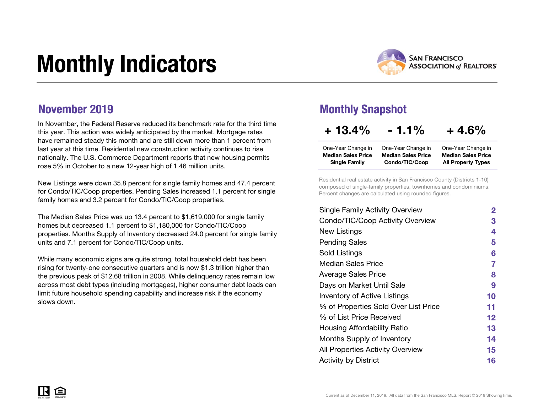# Monthly Indicators



All Property Types

### November 2019

In November, the Federal Reserve reduced its benchmark rate for the third time this year. This action was widely anticipated by the market. Mortgage rates have remained steady this month and are still down more than 1 percent from last year at this time. Residential new construction activity continues to rise nationally. The U.S. Commerce Department reports that new housing permits rose 5% in October to a new 12-year high of 1.46 million units.

New Listings were down 35.8 percent for single family homes and 47.4 percent for Condo/TIC/Coop properties. Pending Sales increased 1.1 percent for single family homes and 3.2 percent for Condo/TIC/Coop properties.

The Median Sales Price was up 13.4 percent to \$1,619,000 for single family homes but decreased 1.1 percent to \$1,180,000 for Condo/TIC/Coop properties. Months Supply of Inventory decreased 24.0 percent for single family units and 7.1 percent for Condo/TIC/Coop units.

While many economic signs are quite strong, total household debt has been rising for twenty-one consecutive quarters and is now \$1.3 trillion higher than the previous peak of \$12.68 trillion in 2008. While delinquency rates remain low across most debt types (including mortgages), higher consumer debt loads can limit future household spending capability and increase risk if the economy slows down.

### Monthly Snapshot

Single Family

| $+13.4%$                  | $-1.1\%$                  | $+4.6%$                   |
|---------------------------|---------------------------|---------------------------|
| One-Year Change in        | One-Year Change in        | One-Year Change in        |
| <b>Median Sales Price</b> | <b>Median Sales Price</b> | <b>Median Sales Price</b> |

Condo/TIC/Coop

Residential real estate activity in San Francisco County (Districts 1-10) composed of single-family properties, townhomes and condominiums. Percent changes are calculated using rounded figures.

| <b>Single Family Activity Overview</b>  | $\mathbf{2}$ |
|-----------------------------------------|--------------|
| Condo/TIC/Coop Activity Overview        | З            |
| New Listings                            | 4            |
| <b>Pending Sales</b>                    | 5            |
| Sold Listings                           | 6            |
| Median Sales Price                      | 7            |
| <b>Average Sales Price</b>              | 8            |
| Days on Market Until Sale               | 9            |
| <b>Inventory of Active Listings</b>     | 10           |
| % of Properties Sold Over List Price    | 11           |
| % of List Price Received                | 12           |
| Housing Affordability Ratio             | 13           |
| Months Supply of Inventory              | 14           |
| <b>All Properties Activity Overview</b> | 15           |
| <b>Activity by District</b>             | 16           |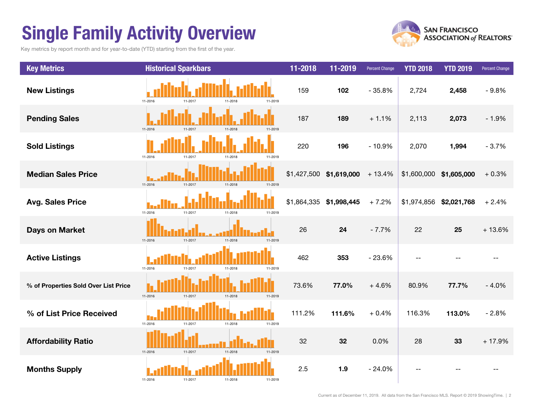## Single Family Activity Overview

Key metrics by report month and for year-to-date (YTD) starting from the first of the year.



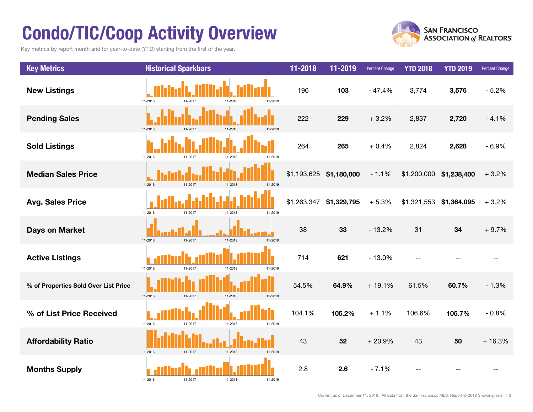## Condo/TIC/Coop Activity Overview

Key metrics by report month and for year-to-date (YTD) starting from the first of the year.



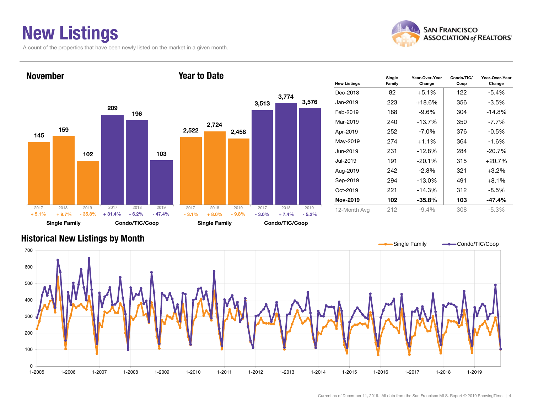### New Listings

A count of the properties that have been newly listed on the market in a given month.





| <b>New Listings</b> | Single<br>Family | Year-Over-Year<br>Change | Condo/TIC/<br>Coop | Year-Over-Year<br>Change |
|---------------------|------------------|--------------------------|--------------------|--------------------------|
| Dec-2018            | 82               | $+5.1%$                  | 122                | -5.4%                    |
| Jan-2019            | 223              | $+18.6%$                 | 356                | $-3.5\%$                 |
| Feb-2019            | 188              | $-9.6\%$                 | 304                | $-14.8%$                 |
| Mar-2019            | 240              | $-13.7%$                 | 350                | $-7.7\%$                 |
| Apr-2019            | 252              | $-7.0\%$                 | 376                | $-0.5\%$                 |
| May-2019            | 274              | $+1.1\%$                 | 364                | -1.6%                    |
| Jun-2019            | 231              | $-12.8%$                 | 284                | $-20.7%$                 |
| Jul-2019            | 191              | $-20.1%$                 | 315                | $+20.7%$                 |
| Aug-2019            | 242              | -2.8%                    | 321                | $+3.2%$                  |
| Sep-2019            | 294              | $-13.0\%$                | 491                | $+8.1%$                  |
| Oct-2019            | 221              | $-14.3%$                 | 312                | -8.5%                    |
| Nov-2019            | 102              | $-35.8%$                 | 103                | -47.4%                   |
| 12-Month Avg        | 212              | $-9.4\%$                 | 308                | $-5.3%$                  |

#### Historical New Listings by Month

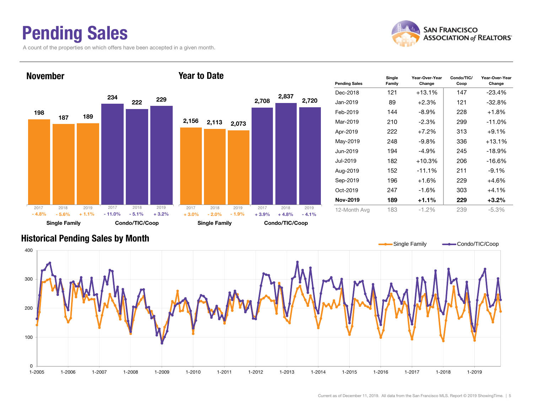### Pending Sales

A count of the properties on which offers have been accepted in a given month.



Change



#### Historical Pending Sales by Month

![](_page_4_Figure_5.jpeg)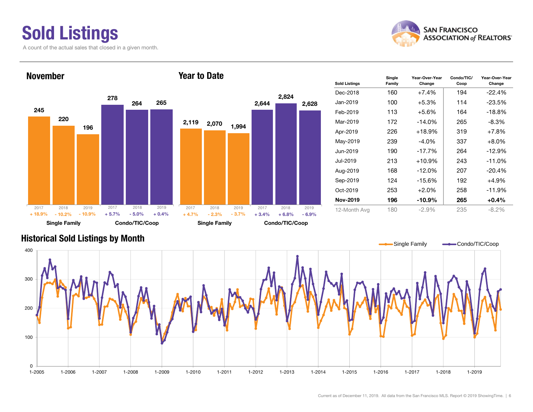### Sold Listings A count of the actual sales that closed in a given month.

![](_page_5_Picture_1.jpeg)

![](_page_5_Figure_2.jpeg)

| <b>Sold Listings</b> | Single<br>Family | Year-Over-Year<br>Change | Condo/TIC/<br>Coop | Year-Over-Year<br>Change |
|----------------------|------------------|--------------------------|--------------------|--------------------------|
| Dec-2018             | 160              | $+7.4%$                  | 194                | $-22.4%$                 |
| Jan-2019             | 100              | $+5.3%$                  | 114                | $-23.5%$                 |
| Feb-2019             | 113              | +5.6%                    | 164                | $-18.8%$                 |
| Mar-2019             | 172              | $-14.0\%$                | 265                | $-8.3\%$                 |
| Apr-2019             | 226              | $+18.9%$                 | 319                | $+7.8%$                  |
| May-2019             | 239              | $-4.0\%$                 | 337                | $+8.0%$                  |
| Jun-2019             | 190              | $-17.7%$                 | 264                | $-12.9%$                 |
| Jul-2019             | 213              | $+10.9\%$                | 243                | $-11.0%$                 |
| Aug-2019             | 168              | $-12.0\%$                | 207                | $-20.4%$                 |
| Sep-2019             | 124              | -15.6%                   | 192                | $+4.9%$                  |
| Oct-2019             | 253              | $+2.0%$                  | 258                | $-11.9%$                 |
| <b>Nov-2019</b>      | 196              | $-10.9\%$                | 265                | $+0.4%$                  |
| 12-Month Avg         | 180              | $-2.9%$                  | 235                | $-8.2\%$                 |

#### Historical Sold Listings by Month

![](_page_5_Figure_5.jpeg)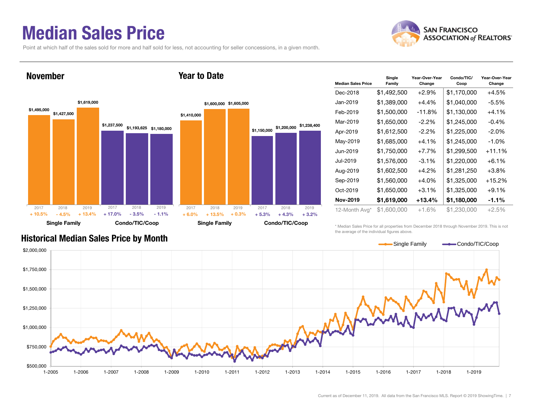### Median Sales Price

Point at which half of the sales sold for more and half sold for less, not accounting for seller concessions, in a given month.

#### November

![](_page_6_Figure_3.jpeg)

| <b>Median Sales Price</b> | Single<br>Family | Year-Over-Year<br>Change | Condo/TIC/<br>Coop | Year-Over-Year<br>Change |
|---------------------------|------------------|--------------------------|--------------------|--------------------------|
| Dec-2018                  | \$1,492,500      | $+2.9%$                  | \$1,170,000        | $+4.5%$                  |
| Jan-2019                  | \$1,389,000      | $+4.4\%$                 | \$1,040,000        | -5.5%                    |
| Feb-2019                  | \$1,500,000      | -11.8%                   | \$1,130,000        | $+4.1%$                  |
| Mar-2019                  | \$1,650,000      | $-2.2\%$                 | \$1,245,000        | $-0.4%$                  |
| Apr-2019                  | \$1,612,500      | $-2.2\%$                 | \$1,225,000        | $-2.0%$                  |
| May-2019                  | \$1,685,000      | $+4.1%$                  | \$1,245,000        | $-1.0%$                  |
| Jun-2019                  | \$1,750,000      | $+7.7%$                  | \$1,299,500        | $+11.1%$                 |
| Jul-2019                  | \$1,576,000      | $-3.1\%$                 | \$1,220,000        | $+6.1%$                  |
| Aug-2019                  | \$1,602,500      | $+4.2%$                  | \$1,281,250        | $+3.8%$                  |
| Sep-2019                  | \$1,560,000      | $+4.0%$                  | \$1,325,000        | $+15.2%$                 |
| Oct-2019                  | \$1,650,000      | $+3.1\%$                 | \$1,325,000        | $+9.1%$                  |
| <b>Nov-2019</b>           | \$1,619,000      | +13.4%                   | \$1,180,000        | $-1.1\%$                 |
| 12-Month Avg*             | \$1,600,000      | +1.6%                    | \$1,230,000        | $+2.5%$                  |

#### Historical Median Sales Price by Month

\* Median Sales Price for all properties from December 2018 through November 2019. This is not the average of the individual figures above.

![](_page_6_Figure_7.jpeg)

#### Year to Date

![](_page_6_Picture_9.jpeg)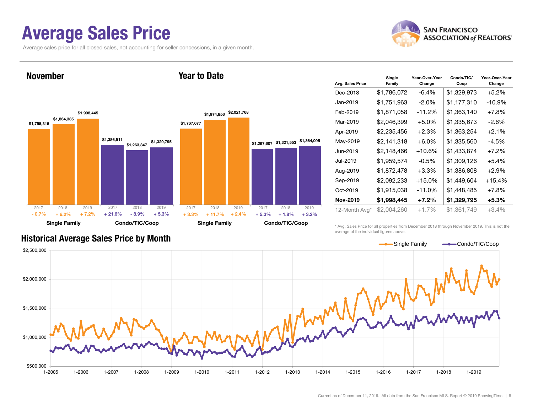### Average Sales Price

Average sales price for all closed sales, not accounting for seller concessions, in a given month.

![](_page_7_Picture_2.jpeg)

November

![](_page_7_Figure_4.jpeg)

Year to Date

| Avg. Sales Price | Single<br>Family | Year-Over-Year<br>Change | Condo/TIC/<br>Coop | Year-Over-Year<br>Change |
|------------------|------------------|--------------------------|--------------------|--------------------------|
| Dec-2018         | \$1,786,072      | $-6.4\%$                 | \$1,329,973        | $+5.2%$                  |
| Jan-2019         | \$1,751,963      | $-2.0\%$                 | \$1,177,310        | $-10.9%$                 |
| Feb-2019         | \$1,871,058      | -11.2%                   | \$1,363,140        | $+7.8%$                  |
| Mar-2019         | \$2,046,399      | $+5.0%$                  | \$1,335,673        | -2.6%                    |
| Apr-2019         | \$2,235,456      | $+2.3%$                  | \$1,363,254        | $+2.1%$                  |
| May-2019         | \$2,141,318      | $+6.0\%$                 | \$1,335,560        | -4.5%                    |
| Jun-2019         | \$2,148,466      | $+10.6%$                 | \$1,433,874        | $+7.2%$                  |
| Jul-2019         | \$1,959,574      | $-0.5%$                  | \$1,309,126        | $+5.4%$                  |
| Aug-2019         | \$1,872,478      | $+3.3%$                  | \$1,386,808        | $+2.9%$                  |
| Sep-2019         | \$2,092,233      | $+15.0%$                 | \$1,449,604        | $+15.4%$                 |
| Oct-2019         | \$1,915,038      | -11.0%                   | \$1,448,485        | $+7.8%$                  |
| Nov-2019         | \$1,998,445      | $+7.2%$                  | \$1,329,795        | $+5.3%$                  |
| 12-Month Avg*    | \$2,004,260      | $+1.7%$                  | \$1,361,749        | $+3.4%$                  |

#### Historical Average Sales Price by Month

\* Avg. Sales Price for all properties from December 2018 through November 2019. This is not the average of the individual figures above.

![](_page_7_Figure_8.jpeg)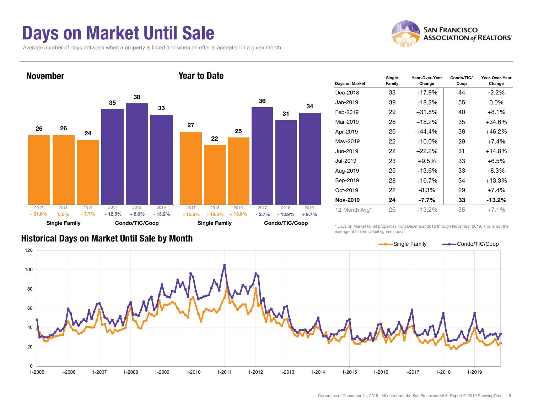### Days on Market Until Sale

Average number of days between when a property is listed and when an offer is accepted in a given month.

![](_page_8_Picture_2.jpeg)

![](_page_8_Figure_3.jpeg)

| Days on Market | Single<br>Family | Year-Over-Year<br>Change | Condo/TIC/<br>Coop | Year-Over-Year<br>Change |
|----------------|------------------|--------------------------|--------------------|--------------------------|
| Dec-2018       | 33               | $+17.9%$                 | 44                 | $-2.2\%$                 |
| Jan-2019       | 39               | $+18.2\%$                | 55                 | $0.0\%$                  |
| Feb-2019       | 29               | $+31.8%$                 | 40                 | $+8.1%$                  |
| Mar-2019       | 26               | $+18.2%$                 | 35                 | $+34.6%$                 |
| Apr-2019       | 26               | $+44.4\%$                | 38                 | $+46.2%$                 |
| May-2019       | 22               | $+10.0\%$                | 29                 | $+7.4%$                  |
| Jun-2019       | 22               | $+22.2%$                 | 31                 | $+14.8%$                 |
| Jul-2019       | 23               | $+9.5%$                  | 33                 | $+6.5%$                  |
| Aug-2019       | 25               | $+13.6%$                 | 33                 | -8.3%                    |
| Sep-2019       | 28               | $+16.7%$                 | 34                 | $+13.3%$                 |
| Oct-2019       | 22               | $-8.3\%$                 | 29                 | $+7.4%$                  |
| Nov-2019       | 24               | $-7.7\%$                 | 33                 | $-13.2\%$                |
| 12-Month Avg*  | 26               | $+13.2%$                 | 35                 | $+7.1%$                  |

#### Historical Days on Market Until Sale by Month

\* Days on Market for all properties from December 2018 through November 2019. This is not the average of the individual figures above.

![](_page_8_Figure_7.jpeg)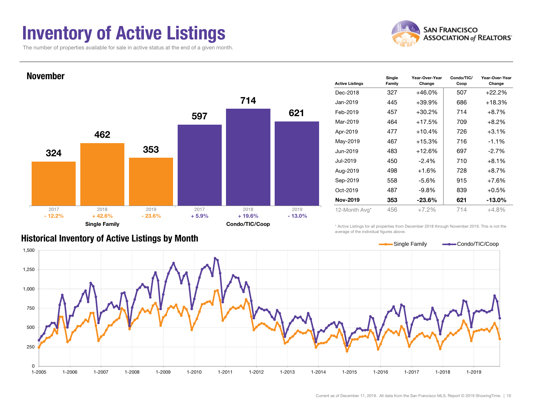### Inventory of Active Listings

The number of properties available for sale in active status at the end of a given month.

![](_page_9_Picture_2.jpeg)

Condo/TIC/ Coop

Year-Over-Year Change

Year-Over-Year Change

![](_page_9_Figure_3.jpeg)

#### Historical Inventory of Active Listings by Month

\* Active Listings for all properties from December 2018 through November 2019. This is not the average of the individual figures above.

![](_page_9_Figure_6.jpeg)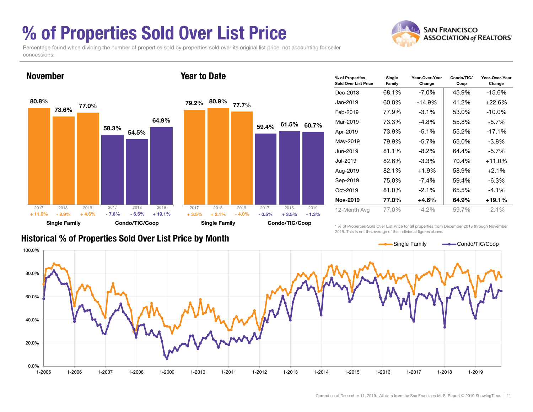### % of Properties Sold Over List Price

concessions.

Percentage found when dividing the number of properties sold by properties sold over its original list price, not accounting for seller

![](_page_10_Picture_2.jpeg)

![](_page_10_Figure_3.jpeg)

| % of Properties<br>Sold Over List Price | Single<br>Family | Year-Over-Year<br>Change | Condo/TIC/<br>Coop | Year-Over-Year<br>Change |
|-----------------------------------------|------------------|--------------------------|--------------------|--------------------------|
| Dec-2018                                | 68.1%            | $-7.0\%$                 | 45.9%              | $-15.6%$                 |
| Jan-2019                                | 60.0%            | $-14.9\%$                | 41.2%              | $+22.6%$                 |
| Feb-2019                                | 77.9%            | $-3.1\%$                 | 53.0%              | $-10.0\%$                |
| Mar-2019                                | 73.3%            | $-4.8%$                  | 55.8%              | $-5.7\%$                 |
| Apr-2019                                | 73.9%            | $-5.1%$                  | 55.2%              | $-17.1%$                 |
| May-2019                                | 79.9%            | $-5.7\%$                 | 65.0%              | $-3.8\%$                 |
| Jun-2019                                | 81.1%            | $-8.2\%$                 | 64.4%              | $-5.7\%$                 |
| Jul-2019                                | 82.6%            | $-3.3\%$                 | 70.4%              | $+11.0%$                 |
| Aug-2019                                | 82.1%            | $+1.9%$                  | 58.9%              | $+2.1\%$                 |
| Sep-2019                                | 75.0%            | -7.4%                    | 59.4%              | -6.3%                    |
| Oct-2019                                | 81.0%            | $-2.1%$                  | 65.5%              | $-4.1%$                  |
| <b>Nov-2019</b>                         | 77.0%            | $+4.6%$                  | 64.9%              | $+19.1%$                 |
| 12-Month Avg                            | 77.0%            | $-4.2\%$                 | 59.7%              | $-2.1\%$                 |

#### Historical % of Properties Sold Over List Price by Month

\* % of Properties Sold Over List Price for all properties from December 2018 through November 2019. This is not the average of the individual figures above.

![](_page_10_Figure_7.jpeg)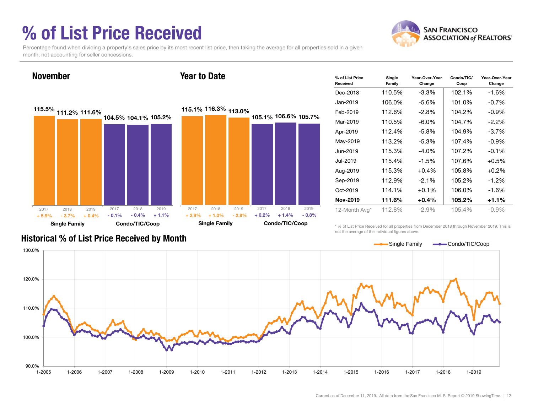### % of List Price Received

November

![](_page_11_Picture_1.jpeg)

Percentage found when dividing a property's sales price by its most recent list price, then taking the average for all properties sold in a given month, not accounting for seller concessions.

Year to Date

#### 115.5% 111.2% 111.6% 104.5%104.1%105.2% Single Family Condo/TIC/Coop 115.1% <sup>116.3%</sup> 113.0% 105.1%106.6% 105.7%Single Family Condo/TIC/Coop 2017 2018 2019  $\%$  - 3.7% + 0.4% - 0.1%  $+ 0.4\%$  - 0.1% - 0.4% + 1.1% 2017 2018 2019 + 5.9%2017 2018 2019  $\%$  + 1.0% - 2.8% + 0.2%  $-2.8\% + 0.2\% + 1.4\% - 0.8\%$ 2017 2018 2019 + 2.9%

| % of List Price<br>Received | Single<br>Family | Year-Over-Year<br>Change | Condo/TIC/<br>Coop | Year-Over-Year<br>Change |
|-----------------------------|------------------|--------------------------|--------------------|--------------------------|
| Dec-2018                    | 110.5%           | $-3.3\%$                 | 102.1%             | $-1.6%$                  |
| Jan-2019                    | 106.0%           | -5.6%                    | 101.0%             | -0.7%                    |
| Feb-2019                    | 112.6%           | $-2.8%$                  | 104.2%             | $-0.9\%$                 |
| Mar-2019                    | 110.5%           | $-6.0\%$                 | 104.7%             | $-2.2\%$                 |
| Apr-2019                    | 112.4%           | $-5.8\%$                 | 104.9%             | $-3.7\%$                 |
| May-2019                    | 113.2%           | $-5.3\%$                 | 107.4%             | $-0.9\%$                 |
| Jun-2019                    | 115.3%           | $-4.0\%$                 | 107.2%             | $-0.1%$                  |
| Jul-2019                    | 115.4%           | $-1.5%$                  | 107.6%             | $+0.5%$                  |
| Aug-2019                    | 115.3%           | $+0.4%$                  | 105.8%             | $+0.2\%$                 |
| Sep-2019                    | 112.9%           | $-2.1%$                  | 105.2%             | $-1.2\%$                 |
| Oct-2019                    | 114.1%           | $+0.1%$                  | 106.0%             | -1.6%                    |
| <b>Nov-2019</b>             | 111.6%           | $+0.4%$                  | 105.2%             | +1.1%                    |
| 12-Month Avg*               | 112.8%           | $-2.9\%$                 | 105.4%             | $-0.9\%$                 |

Historical % of List Price Received by Month

\* % of List Price Received for all properties from December 2018 through November 2019. This is not the average of the individual figures above.

![](_page_11_Figure_7.jpeg)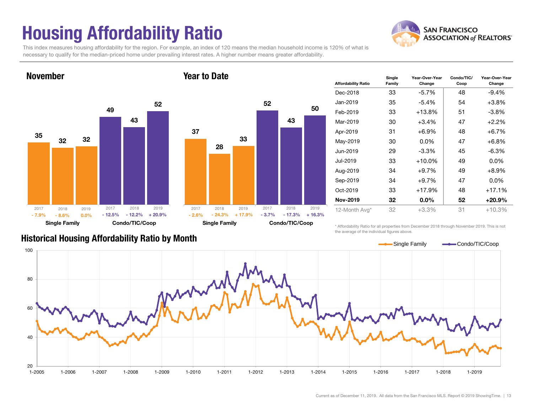## Housing Affordability Ratio

**SAN FRANCISCO ASSOCIATION of REALTORS'** 

This index measures housing affordability for the region. For example, an index of 120 means the median household income is 120% of what is necessary to qualify for the median-priced home under prevailing interest rates. A higher number means greater affordability.

![](_page_12_Figure_3.jpeg)

![](_page_12_Figure_4.jpeg)

| <b>Affordability Ratio</b> | Single<br>Family | Year-Over-Year<br>Change | Condo/TIC/<br>Coop | Year-Over-Year<br>Change |
|----------------------------|------------------|--------------------------|--------------------|--------------------------|
| Dec-2018                   | 33               | $-5.7\%$                 | 48                 | -9.4%                    |
| Jan-2019                   | 35               | $-5.4%$                  | 54                 | $+3.8%$                  |
| Feb-2019                   | 33               | $+13.8%$                 | 51                 | $-3.8%$                  |
| Mar-2019                   | 30               | $+3.4%$                  | 47                 | $+2.2%$                  |
| Apr-2019                   | 31               | $+6.9\%$                 | 48                 | $+6.7%$                  |
| May-2019                   | 30               | $0.0\%$                  | 47                 | $+6.8%$                  |
| Jun-2019                   | 29               | $-3.3%$                  | 45                 | $-6.3%$                  |
| Jul-2019                   | 33               | $+10.0\%$                | 49                 | $0.0\%$                  |
| Aug-2019                   | 34               | $+9.7\%$                 | 49                 | $+8.9%$                  |
| Sep-2019                   | 34               | $+9.7%$                  | 47                 | $0.0\%$                  |
| Oct-2019                   | 33               | $+17.9%$                 | 48                 | +17.1%                   |
| <b>Nov-2019</b>            | 32               | $0.0\%$                  | 52                 | +20.9%                   |
| 12-Month Avg*              | 32               | $+3.3%$                  | 31                 | $+10.3%$                 |

#### Historical Housing Affordability Ratio by Month

\* Affordability Ratio for all properties from December 2018 through November 2019. This is not the average of the individual figures above.

![](_page_12_Figure_8.jpeg)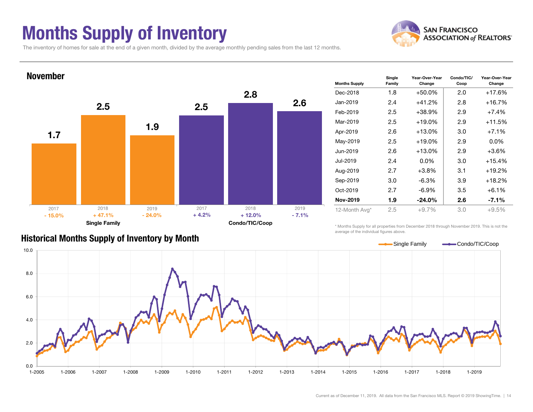### Months Supply of Inventory

![](_page_13_Picture_1.jpeg)

Year-Over-Year Change

The inventory of homes for sale at the end of a given month, divided by the average monthly pending sales from the last 12 months.

![](_page_13_Figure_3.jpeg)

#### Historical Months Supply of Inventory by Month

\* Months Supply for all properties from December 2018 through November 2019. This is not the average of the individual figures above.

![](_page_13_Figure_6.jpeg)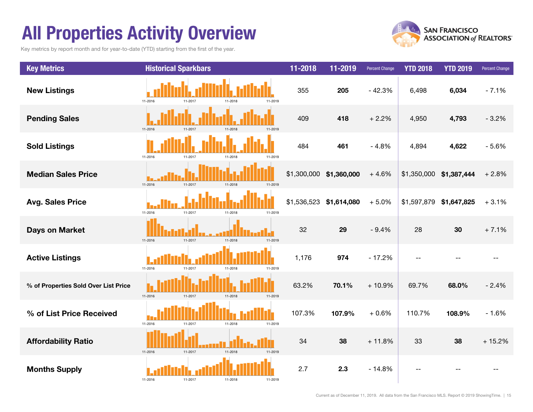### All Properties Activity Overview

Key metrics by report month and for year-to-date (YTD) starting from the first of the year.

![](_page_14_Picture_2.jpeg)

![](_page_14_Figure_3.jpeg)